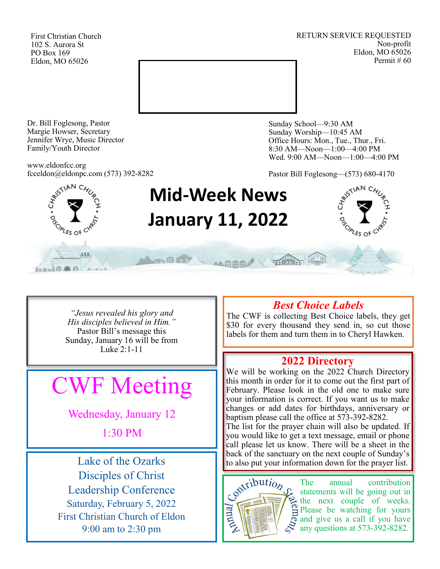First Christian Church 102 S. Aurora St PO Box 169 Eldon, MO 65026

RETURN SERVICE REQUESTED Non-profit Eldon, MO 65026 Permit # 60



Dr. Bill Foglesong, Pastor Margie Howser, Secretary Jennifer Wrye, Music Director Family/Youth Director

www.eldonfcc.org fcceldon@eldonpc.com (573) 392-8282 Sunday School—9:30 AM Sunday Worship—10:45 AM Office Hours: Mon., Tue., Thur., Fri. 8:30 AM—Noon—1:00—4:00 PM Wed. 9:00 AM—Noon—1:00—4:00 PM

Pastor Bill Foglesong—(573) 680-4170



he fine

# **Mid-Week News January 11, 2022**

人用用用手



*"Jesus revealed his glory and His disciples believed in Him."* Pastor Bill's message this Sunday, January 16 will be from Luke 2:1-11

ALL BITTE

# CWF Meeting

Wednesday, January 12

1:30 PM

Lake of the Ozarks Disciples of Christ Leadership Conference Saturday, February 5, 2022 First Christian Church of Eldon 9:00 am to 2:30 pm

# *Best Choice Labels*

The CWF is collecting Best Choice labels, they get \$30 for every thousand they send in, so cut those labels for them and turn them in to Cheryl Hawken.

# **2022 Directory**

We will be working on the 2022 Church Directory this month in order for it to come out the first part of February. Please look in the old one to make sure your information is correct. If you want us to make changes or add dates for birthdays, anniversary or baptism please call the office at 573-392-8282.

The list for the prayer chain will also be updated. If you would like to get a text message, email or phone call please let us know. There will be a sheet in the back of the sanctuary on the next couple of Sunday's to also put your information down for the prayer list.



The annual contribution statements will be going out in  $\geq$  the next couple of weeks. Please be watching for yours and give us a call if you have any questions at 573-392-8282.